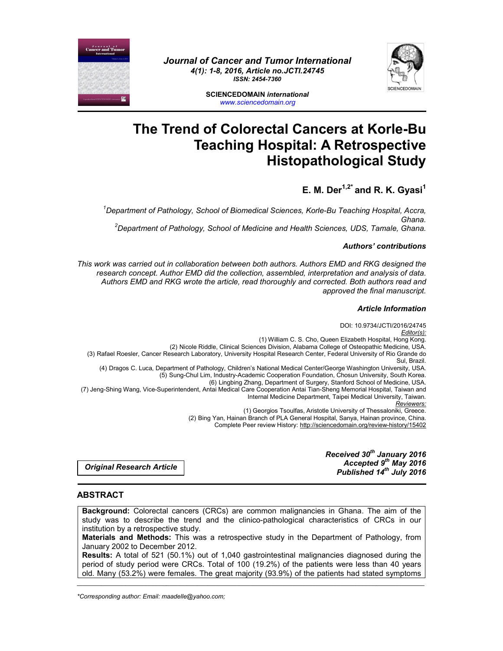



**SCIENCEDOMAIN** *international www.sciencedomain.org*

# **The Trend of Colorectal Cancers at Korle-Bu Teaching Hospital: A Retrospective Histopathological Study**

# **E. M. Der<sup>1,2\*</sup> and R. K. Gyasi<sup>1</sup>**

*1 Department of Pathology, School of Biomedical Sciences, Korle-Bu Teaching Hospital, Accra, Ghana. <sup>2</sup> Department of Pathology, School of Medicine and Health Sciences, UDS, Tamale, Ghana.*

# *Authors' contributions*

*This work was carried out in collaboration between both authors. Authors EMD and RKG designed the research concept. Author EMD did the collection, assembled, interpretation and analysis of data. Authors EMD and RKG wrote the article, read thoroughly and corrected. Both authors read and approved the final manuscript.*

# *Article Information*

DOI: 10.9734/JCTI/2016/24745 *Editor(s):* (1) William C. S. Cho, Queen Elizabeth Hospital, Hong Kong. (2) Nicole Riddle, Clinical Sciences Division, Alabama College of Osteopathic Medicine, USA. (3) Rafael Roesler, Cancer Research Laboratory, University Hospital Research Center, Federal University of Rio Grande do Sul, Brazil. (4) Dragos C. Luca, Department of Pathology, Children's National Medical Center/George Washington University, USA. (5) Sung-Chul Lim, Industry-Academic Cooperation Foundation, Chosun University, South Korea. (6) Lingbing Zhang, Department of Surgery, Stanford School of Medicine, USA. (7) Jeng-Shing Wang, Vice-Superintendent, Antai Medical Care Cooperation Antai Tian-Sheng Memorial Hospital, Taiwan and Internal Medicine Department, Taipei Medical University, Taiwan. *Reviewers:* (1) Georgios Tsoulfas, Aristotle University of Thessaloniki, Greece. (2) Bing Yan, Hainan Branch of PLA General Hospital, Sanya, Hainan province, China. Complete Peer review History: http://sciencedomain.org/review-history/15402

> *Received 30th January 2016 Accepted 9th May 2016 Published 14th July 2016*

*Original Research Article*

# **ABSTRACT**

**Background:** Colorectal cancers (CRCs) are common malignancies in Ghana. The aim of the study was to describe the trend and the clinico-pathological characteristics of CRCs in our institution by a retrospective study.

**Materials and Methods:** This was a retrospective study in the Department of Pathology, from January 2002 to December 2012.

**Results:** A total of 521 (50.1%) out of 1,040 gastrointestinal malignancies diagnosed during the period of study period were CRCs. Total of 100 (19.2%) of the patients were less than 40 years old. Many (53.2%) were females. The great majority (93.9%) of the patients had stated symptoms

\_\_\_\_\_\_\_\_\_\_\_\_\_\_\_\_\_\_\_\_\_\_\_\_\_\_\_\_\_\_\_\_\_\_\_\_\_\_\_\_\_\_\_\_\_\_\_\_\_\_\_\_\_\_\_\_\_\_\_\_\_\_\_\_\_\_\_\_\_\_\_\_\_\_\_\_\_\_\_\_\_\_\_\_\_\_\_\_\_\_\_\_\_\_\_\_\_\_\_\_\_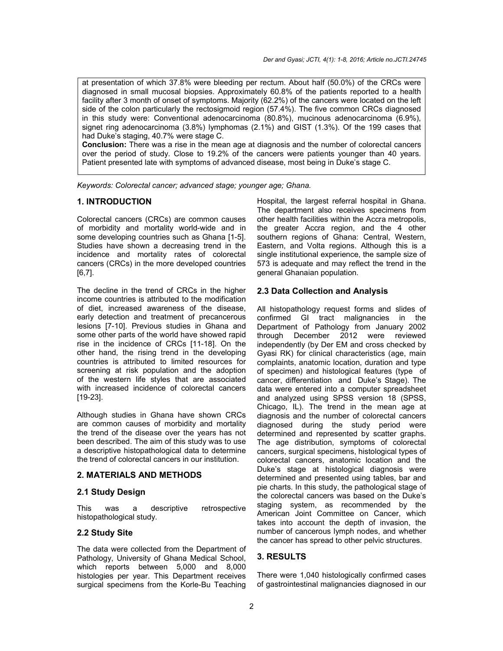at presentation of which 37.8% were bleeding per rectum. About half (50.0%) of the CRCs were diagnosed in small mucosal biopsies. Approximately 60.8% of the patients reported to a health facility after 3 month of onset of symptoms. Majority (62.2%) of the cancers were located on the left side of the colon particularly the rectosigmoid region (57.4%). The five common CRCs diagnosed in this study were: Conventional adenocarcinoma (80.8%), mucinous adenocarcinoma (6.9%), signet ring adenocarcinoma (3.8%) lymphomas (2.1%) and GIST (1.3%). Of the 199 cases that had Duke's staging, 40.7% were stage C.

**Conclusion:** There was a rise in the mean age at diagnosis and the number of colorectal cancers over the period of study. Close to 19.2% of the cancers were patients younger than 40 years. Patient presented late with symptoms of advanced disease, most being in Duke's stage C.

*Keywords: Colorectal cancer; advanced stage; younger age; Ghana.*

# **1. INTRODUCTION**

Colorectal cancers (CRCs) are common causes of morbidity and mortality world-wide and in some developing countries such as Ghana [1-5]. Studies have shown a decreasing trend in the incidence and mortality rates of colorectal cancers (CRCs) in the more developed countries [6,7].

The decline in the trend of CRCs in the higher income countries is attributed to the modification of diet, increased awareness of the disease, early detection and treatment of precancerous lesions [7-10]. Previous studies in Ghana and some other parts of the world have showed rapid rise in the incidence of CRCs [11-18]. On the other hand, the rising trend in the developing countries is attributed to limited resources for screening at risk population and the adoption of the western life styles that are associated with increased incidence of colorectal cancers [19-23].

Although studies in Ghana have shown CRCs are common causes of morbidity and mortality the trend of the disease over the years has not been described. The aim of this study was to use a descriptive histopathological data to determine the trend of colorectal cancers in our institution.

# **2. MATERIALS AND METHODS**

# **2.1 Study Design**

This was a descriptive retrospective histopathological study.

# **2.2 Study Site**

The data were collected from the Department of Pathology, University of Ghana Medical School, which reports between 5,000 and 8,000 histologies per year. This Department receives surgical specimens from the Korle-Bu Teaching Hospital, the largest referral hospital in Ghana. The department also receives specimens from other health facilities within the Accra metropolis, the greater Accra region, and the 4 other southern regions of Ghana: Central, Western, Eastern, and Volta regions. Although this is a single institutional experience, the sample size of 573 is adequate and may reflect the trend in the general Ghanaian population.

# **2.3 Data Collection and Analysis**

All histopathology request forms and slides of confirmed GI tract malignancies in the Department of Pathology from January 2002 through December 2012 were reviewed independently (by Der EM and cross checked by Gyasi RK) for clinical characteristics (age, main complaints, anatomic location, duration and type of specimen) and histological features (type of cancer, differentiation and Duke's Stage). The data were entered into a computer spreadsheet and analyzed using SPSS version 18 (SPSS, Chicago, IL). The trend in the mean age at diagnosis and the number of colorectal cancers diagnosed during the study period were determined and represented by scatter graphs. The age distribution, symptoms of colorectal cancers, surgical specimens, histological types of colorectal cancers, anatomic location and the Duke's stage at histological diagnosis were determined and presented using tables, bar and pie charts. In this study, the pathological stage of the colorectal cancers was based on the Duke's staging system, as recommended by the American Joint Committee on Cancer, which takes into account the depth of invasion, the number of cancerous lymph nodes, and whether the cancer has spread to other pelvic structures.

# **3. RESULTS**

There were 1,040 histologically confirmed cases of gastrointestinal malignancies diagnosed in our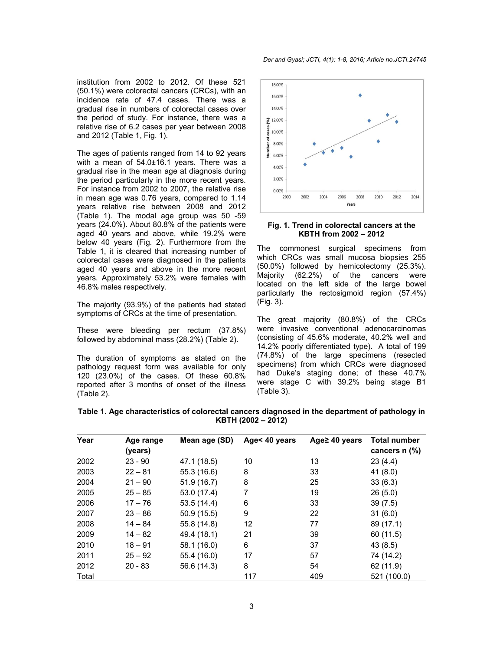institution from 2002 to 2012. Of these 521 (50.1%) were colorectal cancers (CRCs), with an incidence rate of 47.4 cases. There was a gradual rise in numbers of colorectal cases over the period of study. For instance, there was a relative rise of 6.2 cases per year between 2008 and 2012 (Table 1, Fig. 1).

The ages of patients ranged from 14 to 92 years with a mean of 54.0±16.1 years. There was a gradual rise in the mean age at diagnosis during the period particularly in the more recent years. For instance from 2002 to 2007, the relative rise in mean age was 0.76 years, compared to 1.14 years relative rise between 2008 and 2012 (Table 1). The modal age group was 50 -59 years (24.0%). About 80.8% of the patients were aged 40 years and above, while 19.2% were below 40 years (Fig. 2). Furthermore from the Table 1, it is cleared that increasing number of colorectal cases were diagnosed in the patients aged 40 years and above in the more recent years. Approximately 53.2% were females with 46.8% males respectively.

The majority (93.9%) of the patients had stated symptoms of CRCs at the time of presentation.

These were bleeding per rectum (37.8%) followed by abdominal mass (28.2%) (Table 2).

The duration of symptoms as stated on the pathology request form was available for only 120 (23.0%) of the cases. Of these 60.8% reported after 3 months of onset of the illness (Table 2).

*Der and Gyasi; JCTI, 4(1): 1-8, 2016; Article no.JCTI.24745*



#### **Fig. 1. Trend in colorectal cancers at the KBTH from 2002 – 2012**

The commonest surgical specimens from which CRCs was small mucosa biopsies 255 (50.0%) followed by hemicolectomy (25.3%). Majority (62.2%) of the cancers were located on the left side of the large bowel particularly the rectosigmoid region (57.4%) (Fig. 3).

The great majority (80.8%) of the CRCs were invasive conventional adenocarcinomas (consisting of 45.6% moderate, 40.2% well and 14.2% poorly differentiated type). A total of 199 (74.8%) of the large specimens (resected specimens) from which CRCs were diagnosed had Duke's staging done; of these 40.7% were stage C with 39.2% being stage B1 (Table 3).

|                    | Table 1. Age characteristics of colorectal cancers diagnosed in the department of pathology in |
|--------------------|------------------------------------------------------------------------------------------------|
| KBTH (2002 - 2012) |                                                                                                |

| Year  | Age range<br>(years) | Mean age (SD) | Age< 40 years | Age $\geq$ 40 years | <b>Total number</b><br>cancers n (%) |
|-------|----------------------|---------------|---------------|---------------------|--------------------------------------|
| 2002  | $23 - 90$            | 47.1 (18.5)   | 10            | 13                  | 23(4.4)                              |
| 2003  | $22 - 81$            | 55.3 (16.6)   | 8             | 33                  | 41(8.0)                              |
| 2004  | $21 - 90$            | 51.9 (16.7)   | 8             | 25                  | 33(6.3)                              |
| 2005  | $25 - 85$            | 53.0 (17.4)   | 7             | 19                  | 26(5.0)                              |
| 2006  | $17 - 76$            | 53.5 (14.4)   | 6             | 33                  | 39(7.5)                              |
| 2007  | $23 - 86$            | 50.9 (15.5)   | 9             | 22                  | 31(6.0)                              |
| 2008  | $14 - 84$            | 55.8 (14.8)   | 12            | 77                  | 89 (17.1)                            |
| 2009  | $14 - 82$            | 49.4 (18.1)   | 21            | 39                  | 60 (11.5)                            |
| 2010  | $18 - 91$            | 58.1 (16.0)   | 6             | 37                  | 43(8.5)                              |
| 2011  | $25 - 92$            | 55.4 (16.0)   | 17            | 57                  | 74 (14.2)                            |
| 2012  | $20 - 83$            | 56.6 (14.3)   | 8             | 54                  | 62 (11.9)                            |
| Total |                      |               | 117           | 409                 | 521 (100.0)                          |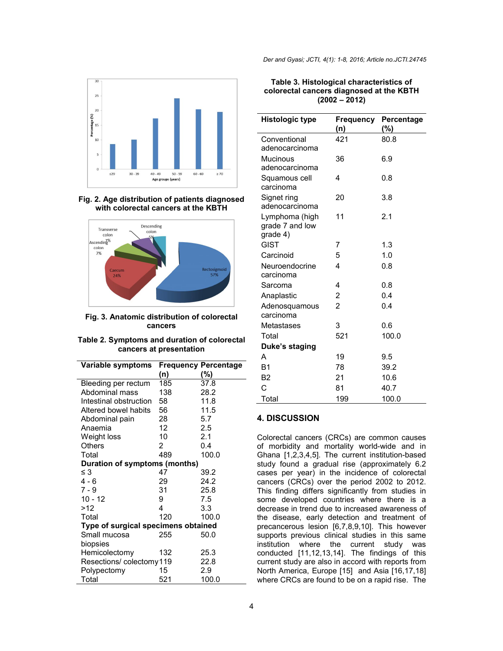

**Fig. 2. Age distribution of patients diagnosed with colorectal cancers at the KBTH**



#### **Fig. 3. Anatomic distribution of colorectal cancers**

#### **Table 2. Symptoms and duration of colorectal cancers at presentation**

| Variable symptoms                   |     | <b>Frequency Percentage</b> |  |  |
|-------------------------------------|-----|-----------------------------|--|--|
|                                     | (n) | (%)                         |  |  |
| Bleeding per rectum                 | 185 | 37.8                        |  |  |
| Abdominal mass                      | 138 | 28.2                        |  |  |
| Intestinal obstruction              | 58  | 11.8                        |  |  |
| Altered bowel habits                | 56  | 11.5                        |  |  |
| Abdominal pain                      | 28  | 5.7                         |  |  |
| Anaemia                             | 12  | 2.5                         |  |  |
| Weight loss                         | 10  | 2.1                         |  |  |
| Others                              | 2   | 0.4                         |  |  |
| Total                               | 489 | 100.0                       |  |  |
| Duration of symptoms (months)       |     |                             |  |  |
| $\leq$ 3                            | 47  | 39.2                        |  |  |
| $4 - 6$                             | 29  | 24.2                        |  |  |
| $7 - 9$                             | 31  | 25.8                        |  |  |
| $10 - 12$                           | 9   | 7.5                         |  |  |
| >12                                 | 4   | 3.3                         |  |  |
| Total                               | 120 | 100.0                       |  |  |
| Type of surgical specimens obtained |     |                             |  |  |
| Small mucosa                        | 255 | 50.0                        |  |  |
| biopsies                            |     |                             |  |  |
| Hemicolectomy                       | 132 | 25.3                        |  |  |
| Resections/colectomy119             |     | 22.8                        |  |  |
| Polypectomy                         | 15  | 2.9                         |  |  |
| Total                               | 521 | 100.0                       |  |  |

*Der and Gyasi; JCTI, 4(1): 1-8, 2016; Article no.JCTI.24745*

#### **Table 3. Histological characteristics of colorectal cancers diagnosed at the KBTH (2002 – 2012)**

| <b>Histologic type</b>      | Frequency      | Percentage      |
|-----------------------------|----------------|-----------------|
|                             | (n)            | $(\frac{9}{0})$ |
| Conventional                | 421            | 80.8            |
| adenocarcinoma              |                |                 |
| Mucinous                    | 36             | 6.9             |
| adenocarcinoma              |                |                 |
| Squamous cell               | 4              | 0.8             |
| carcinoma                   |                |                 |
| Signet ring                 | 20             | 3.8             |
| adenocarcinoma              |                |                 |
| Lymphoma (high              | 11             | 2.1             |
| grade 7 and low<br>grade 4) |                |                 |
| <b>GIST</b>                 | 7              | 1.3             |
|                             | 5              | 1.0             |
| Carcinoid                   |                |                 |
| Neuroendocrine<br>carcinoma | 4              | 0.8             |
| Sarcoma                     | 4              | 0.8             |
|                             |                |                 |
| Anaplastic                  | 2              | 0.4             |
| Adenosquamous<br>carcinoma  | $\overline{2}$ | 0.4             |
| Metastases                  | 3              | 0.6             |
| Total                       | 521            | 100.0           |
|                             |                |                 |
| Duke's staging              |                |                 |
| A                           | 19             | 9.5             |
| Β1                          | 78             | 39.2            |
| B2                          | 21             | 10.6            |
| C                           | 81             | 40.7            |
| Total                       | 199            | 100.0           |

# **4. DISCUSSION**

Colorectal cancers (CRCs) are common causes of morbidity and mortality world-wide and in Ghana [1,2,3,4,5]. The current institution-based study found a gradual rise (approximately 6.2 cases per year) in the incidence of colorectal cancers (CRCs) over the period 2002 to 2012. This finding differs significantly from studies in some developed countries where there is a decrease in trend due to increased awareness of the disease, early detection and treatment of precancerous lesion [6,7,8,9,10]. This however supports previous clinical studies in this same institution where the current study was conducted [11,12,13,14]. The findings of this current study are also in accord with reports from North America, Europe [15] and Asia [16,17,18] where CRCs are found to be on a rapid rise. The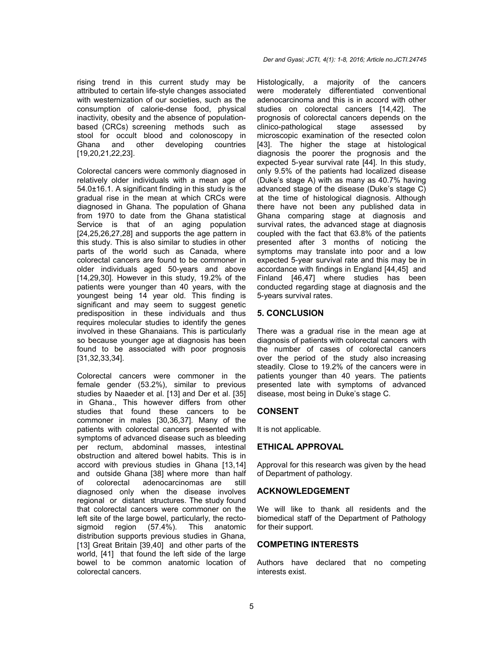rising trend in this current study may be attributed to certain life-style changes associated with westernization of our societies, such as the consumption of calorie-dense food, physical inactivity, obesity and the absence of populationbased (CRCs) screening methods such as stool for occult blood and colonoscopy in Ghana and other developing countries [19,20,21,22,23].

Colorectal cancers were commonly diagnosed in relatively older individuals with a mean age of 54.0±16.1. A significant finding in this study is the gradual rise in the mean at which CRCs were diagnosed in Ghana. The population of Ghana from 1970 to date from the Ghana statistical Service is that of an aging population [24,25,26,27,28] and supports the age pattern in this study. This is also similar to studies in other parts of the world such as Canada, where colorectal cancers are found to be commoner in older individuals aged 50-years and above [14,29,30]. However in this study, 19.2% of the patients were younger than 40 years, with the youngest being 14 year old. This finding is significant and may seem to suggest genetic predisposition in these individuals and thus requires molecular studies to identify the genes involved in these Ghanaians. This is particularly so because younger age at diagnosis has been found to be associated with poor prognosis [31,32,33,34].

Colorectal cancers were commoner in the female gender (53.2%), similar to previous studies by Naaeder et al. [13] and Der et al. [35] in Ghana., This however differs from other studies that found these cancers to be commoner in males [30,36,37]. Many of the patients with colorectal cancers presented with symptoms of advanced disease such as bleeding per rectum, abdominal masses, intestinal obstruction and altered bowel habits. This is in accord with previous studies in Ghana [13,14] and outside Ghana [38] where more than half of colorectal adenocarcinomas are still diagnosed only when the disease involves regional or distant structures. The study found that colorectal cancers were commoner on the left site of the large bowel, particularly, the rectosigmoid region (57.4%). This anatomic distribution supports previous studies in Ghana, [13] Great Britain [39,40] and other parts of the world, [41] that found the left side of the large bowel to be common anatomic location of colorectal cancers.

*Der and Gyasi; JCTI, 4(1): 1-8, 2016; Article no.JCTI.24745*

Histologically, a majority of the cancers were moderately differentiated conventional adenocarcinoma and this is in accord with other studies on colorectal cancers [14,42]. The prognosis of colorectal cancers depends on the clinico-pathological stage assessed by microscopic examination of the resected colon [43]. The higher the stage at histological diagnosis the poorer the prognosis and the expected 5-year survival rate [44]. In this study, only 9.5% of the patients had localized disease (Duke's stage A) with as many as 40.7% having advanced stage of the disease (Duke's stage C) at the time of histological diagnosis. Although there have not been any published data in Ghana comparing stage at diagnosis and survival rates, the advanced stage at diagnosis coupled with the fact that 63.8% of the patients presented after 3 months of noticing the symptoms may translate into poor and a low expected 5-year survival rate and this may be in accordance with findings in England [44,45] and Finland [46,47] where studies has been conducted regarding stage at diagnosis and the 5-years survival rates.

#### **5. CONCLUSION**

There was a gradual rise in the mean age at diagnosis of patients with colorectal cancers with the number of cases of colorectal cancers over the period of the study also increasing steadily. Close to 19.2% of the cancers were in patients younger than 40 years. The patients presented late with symptoms of advanced disease, most being in Duke's stage C.

#### **CONSENT**

It is not applicable.

#### **ETHICAL APPROVAL**

Approval for this research was given by the head of Department of pathology.

#### **ACKNOWLEDGEMENT**

We will like to thank all residents and the biomedical staff of the Department of Pathology for their support.

#### **COMPETING INTERESTS**

Authors have declared that no competing interests exist.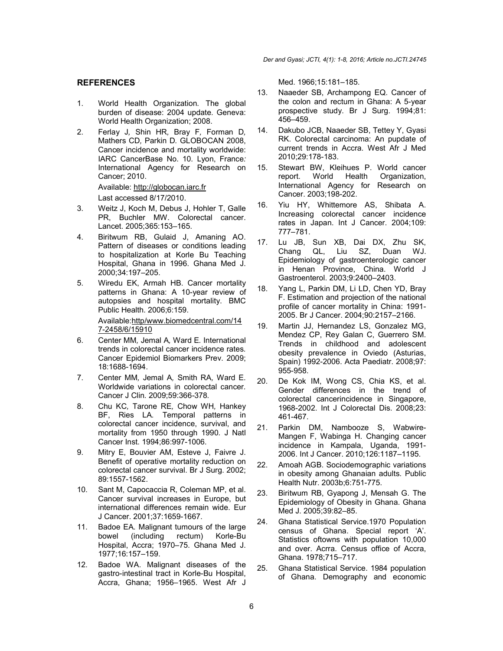*Der and Gyasi; JCTI, 4(1): 1-8, 2016; Article no.JCTI.24745*

#### **REFERENCES**

- 1. World Health Organization*.* The global burden of disease: 2004 update*.* Geneva: World Health Organization; 2008.
- 2. Ferlay J*,* Shin HR*,* Bray F*,* Forman D*,*  Mathers CD*,* Parkin D*.* GLOBOCAN 2008, Cancer incidence and mortality worldwide: IARC CancerBase No. 10*.* Lyon, France*:*  International Agency for Research on Cancer; 2010. Available: http://globocan.iarc.fr

Last accessed 8/17/2010.

- 3. Weitz J, Koch M, Debus J, Hohler T, Galle PR, Buchler MW. Colorectal cancer. Lancet. 2005;365:153–165.
- 4. Biritwum RB, Gulaid J, Amaning AO. Pattern of diseases or conditions leading to hospitalization at Korle Bu Teaching Hospital, Ghana in 1996. Ghana Med J. 2000;34:197–205.
- 5. Wiredu EK, Armah HB. Cancer mortality patterns in Ghana: A 10-year review of autopsies and hospital mortality. BMC Public Health. 2006;6:159.

Available:http/www.biomedcentral.com/14 7-2458/6/15910

- 6. Center MM*,* Jemal A*,* Ward E*.* International trends in colorectal cancer incidence rates*.* Cancer Epidemiol Biomarkers Prev. 2009; 18:1688-1694.
- 7. Center MM*,* Jemal A*,* Smith RA*,* Ward E*.*  Worldwide variations in colorectal cancer*.*  Cancer J Clin*.* 2009;59:366*-*378*.*
- 8. Chu KC*,* Tarone RE*,* Chow WH*,* Hankey BF, Ries LA*.* Temporal patterns in colorectal cancer incidence, survival, and mortality from 1950 through 1990*.* J Natl Cancer Inst. 1994;86:997-1006.
- 9. Mitry E, Bouvier AM, Esteve J, Faivre J. Benefit of operative mortality reduction on colorectal cancer survival. Br J Surg. 2002; 89:1557-1562.
- 10. Sant M, Capocaccia R, Coleman MP, et al. Cancer survival increases in Europe, but international differences remain wide. Eur J Cancer. 2001;37:1659-1667.
- 11. Badoe EA. Malignant tumours of the large bowel (including rectum) Korle-Bu Hospital, Accra; 1970–75. Ghana Med J. 1977;16:157–159.
- 12. Badoe WA. Malignant diseases of the gastro-intestinal tract in Korle-Bu Hospital, Accra, Ghana; 1956–1965. West Afr J

Med. 1966;15:181–185.

- 13. Naaeder SB, Archampong EQ. Cancer of the colon and rectum in Ghana: A 5-year prospective study. Br J Surg. 1994;81: 456–459.
- 14. Dakubo JCB, Naaeder SB, Tettey Y, Gyasi RK. Colorectal carcinoma: An pupdate of current trends in Accra. West Afr J Med 2010;29:178-183.
- 15. Stewart BW, Kleihues P. World cancer report. World Health Organization, International Agency for Research on Cancer. 2003;198-202.
- 16. Yiu HY, Whittemore AS, Shibata A. Increasing colorectal cancer incidence rates in Japan. Int J Cancer. 2004;109: 777–781.
- 17. Lu JB, Sun XB, Dai DX, Zhu SK, Chang QL, Liu SZ, Duan WJ. Epidemiology of gastroenterologic cancer in Henan Province, China. World J Gastroenterol. 2003;9:2400–2403.
- 18. Yang L, Parkin DM, Li LD, Chen YD, Bray F. Estimation and projection of the national profile of cancer mortality in China: 1991- 2005. Br J Cancer. 2004;90:2157–2166.
- 19. Martin JJ, Hernandez LS, Gonzalez MG, Mendez CP, Rey Galan C, Guerrero SM. Trends in childhood and adolescent obesity prevalence in Oviedo (Asturias, Spain) 1992-2006. Acta Paediatr. 2008;97: 955-958.
- 20. De Kok IM, Wong CS, Chia KS, et al. Gender differences in the trend of colorectal cancerincidence in Singapore, 1968-2002. Int J Colorectal Dis. 2008;23: 461-467.
- 21. Parkin DM, Nambooze S, Wabwire-Mangen F, Wabinga H. Changing cancer incidence in Kampala, Uganda, 1991- 2006. Int J Cancer. 2010;126:1187–1195.
- 22. Amoah AGB. Sociodemographic variations in obesity among Ghanaian adults. Public Health Nutr. 2003b;6:751-775.
- 23. Biritwum RB, Gyapong J, Mensah G. The Epidemiology of Obesity in Ghana. Ghana Med J. 2005;39:82–85.
- 24. Ghana Statistical Service.1970 Population census of Ghana. Special report 'A'. Statistics oftowns with population 10,000 and over. Acrra. Census office of Accra, Ghana. 1978;715–717.
- 25. Ghana Statistical Service. 1984 population of Ghana. Demography and economic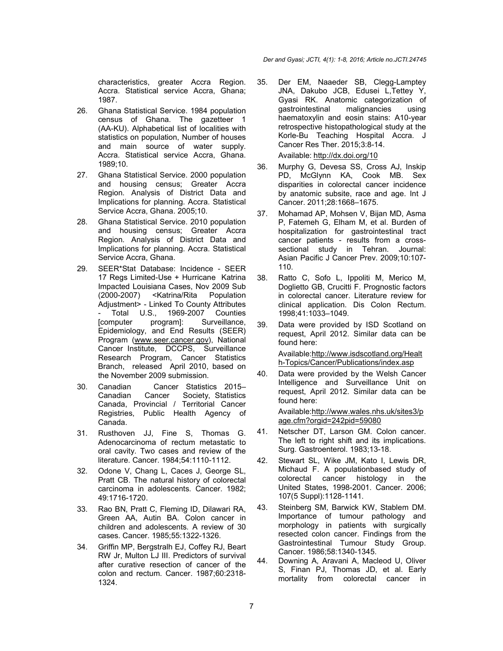characteristics, greater Accra Region. Accra. Statistical service Accra, Ghana; 1987.

- 26. Ghana Statistical Service. 1984 population census of Ghana. The gazetteer 1 (AA-KU). Alphabetical list of localities with statistics on population, Number of houses and main source of water supply. Accra. Statistical service Accra, Ghana. 1989;10.
- 27. Ghana Statistical Service. 2000 population and housing census; Greater Accra Region. Analysis of District Data and Implications for planning. Accra. Statistical Service Accra, Ghana. 2005;10.
- 28. Ghana Statistical Service. 2010 population and housing census; Greater Accra Region. Analysis of District Data and Implications for planning. Accra. Statistical Service Accra, Ghana.
- 29. SEER\*Stat Database: Incidence SEER 17 Regs Limited-Use + Hurricane Katrina Impacted Louisiana Cases, Nov 2009 Sub (2000-2007) <Katrina/Rita Population Adjustment> - Linked To County Attributes<br>- Total U.S., 1969-2007 Counties - Total U.S., 1969-2007 Counties<br>[computer program]: Surveillance, program]: Surveillance, Epidemiology, and End Results (SEER) Program (www.seer.cancer.gov), National Cancer Institute, DCCPS, Surveillance Research Program, Cancer Statistics Branch, released April 2010, based on the November 2009 submission.
- 30. Canadian Cancer Statistics 2015– Canadian Cancer Society, Statistics Canada, Provincial / Territorial Cancer Registries, Public Health Agency of Canada.
- 31. Rusthoven JJ, Fine S, Thomas G. Adenocarcinoma of rectum metastatic to oral cavity. Two cases and review of the literature. Cancer. 1984;54:1110-1112.
- 32. Odone V, Chang L, Caces J, George SL, Pratt CB. The natural history of colorectal carcinoma in adolescents. Cancer. 1982; 49:1716-1720.
- 33. Rao BN, Pratt C, Fleming ID, Dilawari RA, Green AA, Autin BA. Colon cancer in children and adolescents. A review of 30 cases. Cancer. 1985;55:1322-1326.
- 34. Griffin MP, Bergstralh EJ, Coffey RJ, Beart RW Jr, Multon LJ III. Predictors of survival after curative resection of cancer of the colon and rectum. Cancer. 1987;60:2318- 1324.

35. Der EM, Naaeder SB, Clegg-Lamptey JNA, Dakubo JCB, Edusei L,Tettey Y, Gyasi RK. Anatomic categorization of gastrointestinal malignancies using gastrointestinal malignancies using haematoxylin and eosin stains: A10-year retrospective histopathological study at the Korle-Bu Teaching Hospital Accra. J Cancer Res Ther. 2015;3:8-14.

Available: http://dx.doi.org/10

- 36. Murphy G, Devesa SS, Cross AJ, Inskip PD, McGlynn KA, Cook MB. Sex disparities in colorectal cancer incidence by anatomic subsite, race and age. Int J Cancer. 2011;28:1668–1675.
- 37. Mohamad AP, Mohsen V, Bijan MD, Asma P, Fatemeh G, Elham M, et al. Burden of hospitalization for gastrointestinal tract cancer patients - results from a crosssectional study in Tehran. Journal: Asian Pacific J Cancer Prev. 2009;10:107- 110.
- 38. Ratto C, Sofo L, Ippoliti M, Merico M, Doglietto GB, Crucitti F. Prognostic factors in colorectal cancer. Literature review for clinical application. Dis Colon Rectum. 1998;41:1033–1049.
- 39. Data were provided by ISD Scotland on request, April 2012. Similar data can be found here: Available:http://www.isdscotland.org/Healt h-Topics/Cancer/Publications/index.asp
- 40. Data were provided by the Welsh Cancer Intelligence and Surveillance Unit on request, April 2012. Similar data can be found here:

Available:http://www.wales.nhs.uk/sites3/p age.cfm?orgid=242pid=59080

- 41. Netscher DT, Larson GM. Colon cancer. The left to right shift and its implications. Surg. Gastroenterol. 1983;13-18.
- 42. Stewart SL, Wike JM, Kato I, Lewis DR, Michaud F. A populationbased study of colorectal cancer histology in the United States, 1998-2001. Cancer. 2006; 107(5 Suppl):1128-1141.
- 43. Steinberg SM, Barwick KW, Stablem DM. Importance of tumour pathology and morphology in patients with surgically resected colon cancer. Findings from the Gastrointestinal Tumour Study Group. Cancer. 1986;58:1340-1345.
- 44. Downing A, Aravani A, Macleod U, Oliver S, Finan PJ, Thomas JD, et al. Early mortality from colorectal cancer in